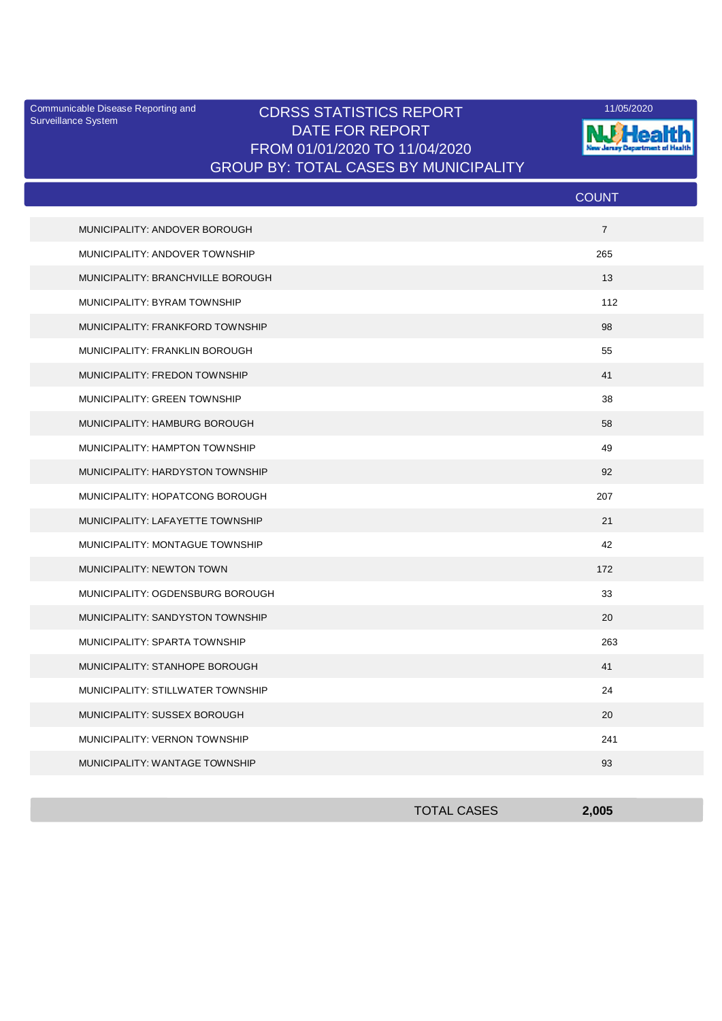Surveillance System

## Communicable Disease Reporting and **CDRSS STATISTICS REPORT** 11/05/2020<br>Curreillance Statem DATE FOR REPORT FROM 01/01/2020 TO 11/04/2020 GROUP BY: TOTAL CASES BY MUNICIPALITY



|                                   | <b>COUNT</b>   |
|-----------------------------------|----------------|
| MUNICIPALITY: ANDOVER BOROUGH     | $\overline{7}$ |
| MUNICIPALITY: ANDOVER TOWNSHIP    | 265            |
| MUNICIPALITY: BRANCHVILLE BOROUGH | 13             |
| MUNICIPALITY: BYRAM TOWNSHIP      | 112            |
| MUNICIPALITY: FRANKFORD TOWNSHIP  | 98             |
| MUNICIPALITY: FRANKLIN BOROUGH    | 55             |
| MUNICIPALITY: FREDON TOWNSHIP     | 41             |
| MUNICIPALITY: GREEN TOWNSHIP      | 38             |
| MUNICIPALITY: HAMBURG BOROUGH     | 58             |
| MUNICIPALITY: HAMPTON TOWNSHIP    | 49             |
| MUNICIPALITY: HARDYSTON TOWNSHIP  | 92             |
| MUNICIPALITY: HOPATCONG BOROUGH   | 207            |
| MUNICIPALITY: LAFAYETTE TOWNSHIP  | 21             |
| MUNICIPALITY: MONTAGUE TOWNSHIP   | 42             |
| MUNICIPALITY: NEWTON TOWN         | 172            |
| MUNICIPALITY: OGDENSBURG BOROUGH  | 33             |
| MUNICIPALITY: SANDYSTON TOWNSHIP  | 20             |
| MUNICIPALITY: SPARTA TOWNSHIP     | 263            |
| MUNICIPALITY: STANHOPE BOROUGH    | 41             |
| MUNICIPALITY: STILLWATER TOWNSHIP | 24             |
| MUNICIPALITY: SUSSEX BOROUGH      | 20             |
| MUNICIPALITY: VERNON TOWNSHIP     | 241            |
| MUNICIPALITY: WANTAGE TOWNSHIP    | 93             |

| <b>TOTAL CASES</b> | 2,005 |
|--------------------|-------|
|                    |       |